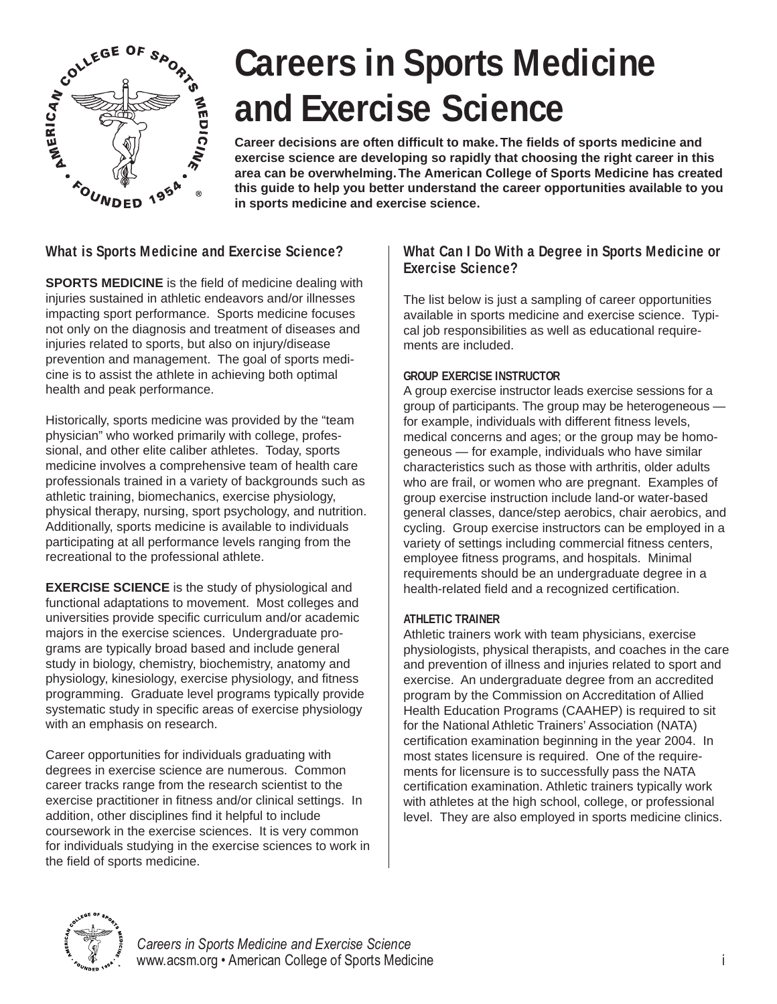

# **Careers in Sports Medicine and Exercise Science**

**Career decisions are often difficult to make. The fields of sports medicine and exercise science are developing so rapidly that choosing the right career in this area can be overwhelming. The American College of Sports Medicine has created this guide to help you better understand the career opportunities available to you in sports medicine and exercise science.**

# **What is Sports Medicine and Exercise Science?**

**SPORTS MEDICINE** is the field of medicine dealing with injuries sustained in athletic endeavors and/or illnesses impacting sport performance. Sports medicine focuses not only on the diagnosis and treatment of diseases and injuries related to sports, but also on injury/disease prevention and management. The goal of sports medicine is to assist the athlete in achieving both optimal health and peak performance.

Historically, sports medicine was provided by the "team physician" who worked primarily with college, professional, and other elite caliber athletes. Today, sports medicine involves a comprehensive team of health care professionals trained in a variety of backgrounds such as athletic training, biomechanics, exercise physiology, physical therapy, nursing, sport psychology, and nutrition. Additionally, sports medicine is available to individuals participating at all performance levels ranging from the recreational to the professional athlete.

**EXERCISE SCIENCE** is the study of physiological and functional adaptations to movement. Most colleges and universities provide specific curriculum and/or academic majors in the exercise sciences. Undergraduate programs are typically broad based and include general study in biology, chemistry, biochemistry, anatomy and physiology, kinesiology, exercise physiology, and fitness programming. Graduate level programs typically provide systematic study in specific areas of exercise physiology with an emphasis on research.

Career opportunities for individuals graduating with degrees in exercise science are numerous. Common career tracks range from the research scientist to the exercise practitioner in fitness and/or clinical settings. In addition, other disciplines find it helpful to include coursework in the exercise sciences. It is very common for individuals studying in the exercise sciences to work in the field of sports medicine.

## **What Can I Do With a Degree in Sports Medicine or Exercise Science?**

The list below is just a sampling of career opportunities available in sports medicine and exercise science. Typical job responsibilities as well as educational requirements are included.

### **GROUP EXERCISE INSTRUCTOR**

A group exercise instructor leads exercise sessions for a group of participants. The group may be heterogeneous for example, individuals with different fitness levels, medical concerns and ages; or the group may be homogeneous — for example, individuals who have similar characteristics such as those with arthritis, older adults who are frail, or women who are pregnant. Examples of group exercise instruction include land-or water-based general classes, dance/step aerobics, chair aerobics, and cycling. Group exercise instructors can be employed in a variety of settings including commercial fitness centers, employee fitness programs, and hospitals. Minimal requirements should be an undergraduate degree in a health-related field and a recognized certification.

#### **ATHLETIC TRAINER**

Athletic trainers work with team physicians, exercise physiologists, physical therapists, and coaches in the care and prevention of illness and injuries related to sport and exercise. An undergraduate degree from an accredited program by the Commission on Accreditation of Allied Health Education Programs (CAAHEP) is required to sit for the National Athletic Trainers' Association (NATA) certification examination beginning in the year 2004. In most states licensure is required. One of the requirements for licensure is to successfully pass the NATA certification examination. Athletic trainers typically work with athletes at the high school, college, or professional level. They are also employed in sports medicine clinics.



*Careers in Sports Medicine and Exercise Science* www.acsm.org • American College of Sports Medicine in the interval of the interval of the interval of the interval of the interval of the interval of the interval of the interval of the interval of the interval of the inte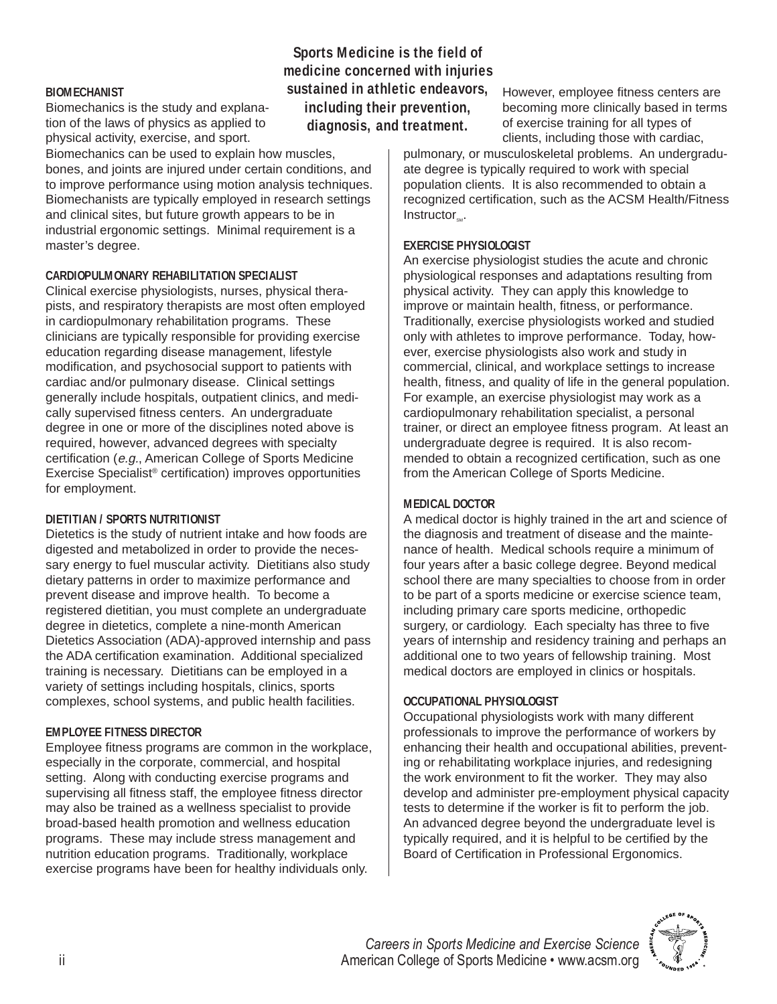#### **BIOMECHANIST**

Biomechanics is the study and explanation of the laws of physics as applied to physical activity, exercise, and sport.

Biomechanics can be used to explain how muscles, bones, and joints are injured under certain conditions, and to improve performance using motion analysis techniques. Biomechanists are typically employed in research settings and clinical sites, but future growth appears to be in industrial ergonomic settings. Minimal requirement is a master's degree.

#### **CARDIOPULMONARY REHABILITATION SPECIALIST**

Clinical exercise physiologists, nurses, physical therapists, and respiratory therapists are most often employed in cardiopulmonary rehabilitation programs. These clinicians are typically responsible for providing exercise education regarding disease management, lifestyle modification, and psychosocial support to patients with cardiac and/or pulmonary disease. Clinical settings generally include hospitals, outpatient clinics, and medically supervised fitness centers. An undergraduate degree in one or more of the disciplines noted above is required, however, advanced degrees with specialty certification (e.g., American College of Sports Medicine Exercise Specialist® certification) improves opportunities for employment.

#### **DIETITIAN / SPORTS NUTRITIONIST**

Dietetics is the study of nutrient intake and how foods are digested and metabolized in order to provide the necessary energy to fuel muscular activity. Dietitians also study dietary patterns in order to maximize performance and prevent disease and improve health. To become a registered dietitian, you must complete an undergraduate degree in dietetics, complete a nine-month American Dietetics Association (ADA)-approved internship and pass the ADA certification examination. Additional specialized training is necessary. Dietitians can be employed in a variety of settings including hospitals, clinics, sports complexes, school systems, and public health facilities.

#### **EMPLOYEE FITNESS DIRECTOR**

Employee fitness programs are common in the workplace, especially in the corporate, commercial, and hospital setting. Along with conducting exercise programs and supervising all fitness staff, the employee fitness director may also be trained as a wellness specialist to provide broad-based health promotion and wellness education programs. These may include stress management and nutrition education programs. Traditionally, workplace exercise programs have been for healthy individuals only.

**Sports Medicine is the field of medicine concerned with injuries sustained in athletic endeavors, including their prevention, diagnosis, and treatment.**

However, employee fitness centers are becoming more clinically based in terms of exercise training for all types of clients, including those with cardiac,

pulmonary, or musculoskeletal problems. An undergraduate degree is typically required to work with special population clients. It is also recommended to obtain a recognized certification, such as the ACSM Health/Fitness  $Instructor_{\sim}.$ 

#### **EXERCISE PHYSIOLOGIST**

An exercise physiologist studies the acute and chronic physiological responses and adaptations resulting from physical activity. They can apply this knowledge to improve or maintain health, fitness, or performance. Traditionally, exercise physiologists worked and studied only with athletes to improve performance. Today, however, exercise physiologists also work and study in commercial, clinical, and workplace settings to increase health, fitness, and quality of life in the general population. For example, an exercise physiologist may work as a cardiopulmonary rehabilitation specialist, a personal trainer, or direct an employee fitness program. At least an undergraduate degree is required. It is also recommended to obtain a recognized certification, such as one from the American College of Sports Medicine.

#### **MEDICAL DOCTOR**

A medical doctor is highly trained in the art and science of the diagnosis and treatment of disease and the maintenance of health. Medical schools require a minimum of four years after a basic college degree. Beyond medical school there are many specialties to choose from in order to be part of a sports medicine or exercise science team, including primary care sports medicine, orthopedic surgery, or cardiology. Each specialty has three to five years of internship and residency training and perhaps an additional one to two years of fellowship training. Most medical doctors are employed in clinics or hospitals.

#### **OCCUPATIONAL PHYSIOLOGIST**

Occupational physiologists work with many different professionals to improve the performance of workers by enhancing their health and occupational abilities, preventing or rehabilitating workplace injuries, and redesigning the work environment to fit the worker. They may also develop and administer pre-employment physical capacity tests to determine if the worker is fit to perform the job. An advanced degree beyond the undergraduate level is typically required, and it is helpful to be certified by the Board of Certification in Professional Ergonomics.

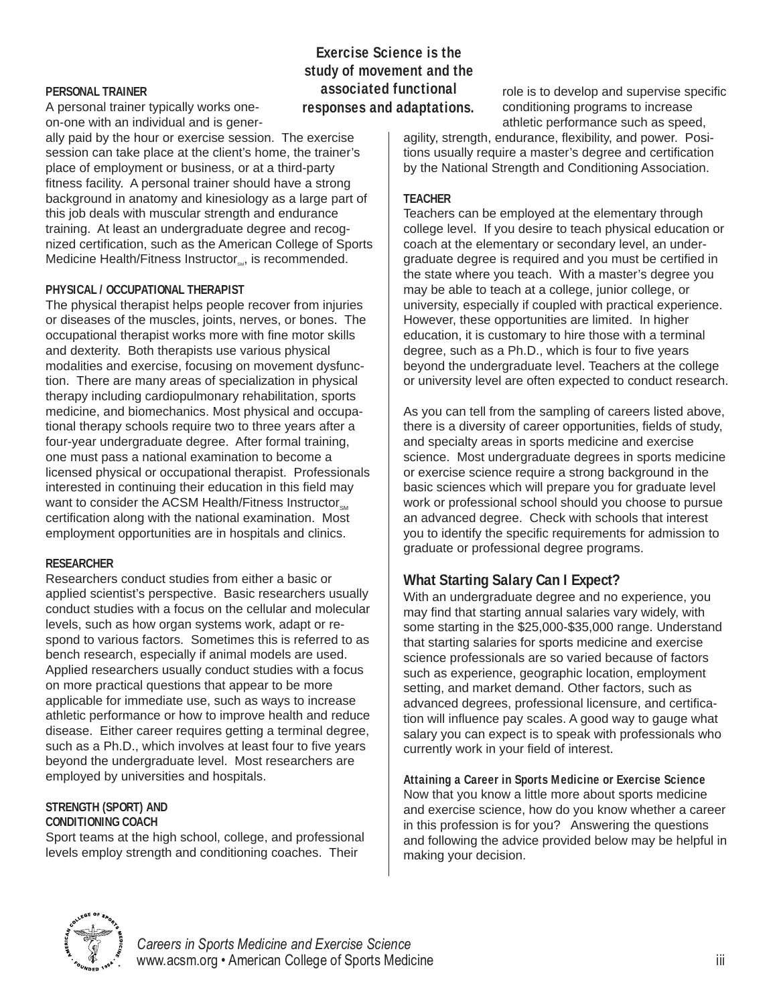#### **PERSONAL TRAINER**

A personal trainer typically works oneon-one with an individual and is gener-

ally paid by the hour or exercise session. The exercise session can take place at the client's home, the trainer's place of employment or business, or at a third-party fitness facility. A personal trainer should have a strong background in anatomy and kinesiology as a large part of this job deals with muscular strength and endurance training. At least an undergraduate degree and recognized certification, such as the American College of Sports Medicine Health/Fitness Instructor<sub>sta</sub> is recommended.

#### **PHYSICAL / OCCUPATIONAL THERAPIST**

The physical therapist helps people recover from injuries or diseases of the muscles, joints, nerves, or bones. The occupational therapist works more with fine motor skills and dexterity. Both therapists use various physical modalities and exercise, focusing on movement dysfunction. There are many areas of specialization in physical therapy including cardiopulmonary rehabilitation, sports medicine, and biomechanics. Most physical and occupational therapy schools require two to three years after a four-year undergraduate degree. After formal training, one must pass a national examination to become a licensed physical or occupational therapist. Professionals interested in continuing their education in this field may want to consider the ACSM Health/Fitness Instructor<sub>sM</sub> certification along with the national examination. Most employment opportunities are in hospitals and clinics.

#### **RESEARCHER**

Researchers conduct studies from either a basic or applied scientist's perspective. Basic researchers usually conduct studies with a focus on the cellular and molecular levels, such as how organ systems work, adapt or respond to various factors. Sometimes this is referred to as bench research, especially if animal models are used. Applied researchers usually conduct studies with a focus on more practical questions that appear to be more applicable for immediate use, such as ways to increase athletic performance or how to improve health and reduce disease. Either career requires getting a terminal degree, such as a Ph.D., which involves at least four to five years beyond the undergraduate level. Most researchers are employed by universities and hospitals.

#### **STRENGTH (SPORT) AND CONDITIONING COACH**

Sport teams at the high school, college, and professional levels employ strength and conditioning coaches. Their

## **Exercise Science is the study of movement and the associated functional responses and adaptations.**

role is to develop and supervise specific conditioning programs to increase athletic performance such as speed,

agility, strength, endurance, flexibility, and power. Positions usually require a master's degree and certification by the National Strength and Conditioning Association.

#### **TEACHER**

Teachers can be employed at the elementary through college level. If you desire to teach physical education or coach at the elementary or secondary level, an undergraduate degree is required and you must be certified in the state where you teach. With a master's degree you may be able to teach at a college, junior college, or university, especially if coupled with practical experience. However, these opportunities are limited. In higher education, it is customary to hire those with a terminal degree, such as a Ph.D., which is four to five years beyond the undergraduate level. Teachers at the college or university level are often expected to conduct research.

As you can tell from the sampling of careers listed above, there is a diversity of career opportunities, fields of study, and specialty areas in sports medicine and exercise science. Most undergraduate degrees in sports medicine or exercise science require a strong background in the basic sciences which will prepare you for graduate level work or professional school should you choose to pursue an advanced degree. Check with schools that interest you to identify the specific requirements for admission to graduate or professional degree programs.

# **What Starting Salary Can I Expect?**

With an undergraduate degree and no experience, you may find that starting annual salaries vary widely, with some starting in the \$25,000-\$35,000 range. Understand that starting salaries for sports medicine and exercise science professionals are so varied because of factors such as experience, geographic location, employment setting, and market demand. Other factors, such as advanced degrees, professional licensure, and certification will influence pay scales. A good way to gauge what salary you can expect is to speak with professionals who currently work in your field of interest.

**Attaining a Career in Sports Medicine or Exercise Science** Now that you know a little more about sports medicine and exercise science, how do you know whether a career in this profession is for you? Answering the questions and following the advice provided below may be helpful in making your decision.

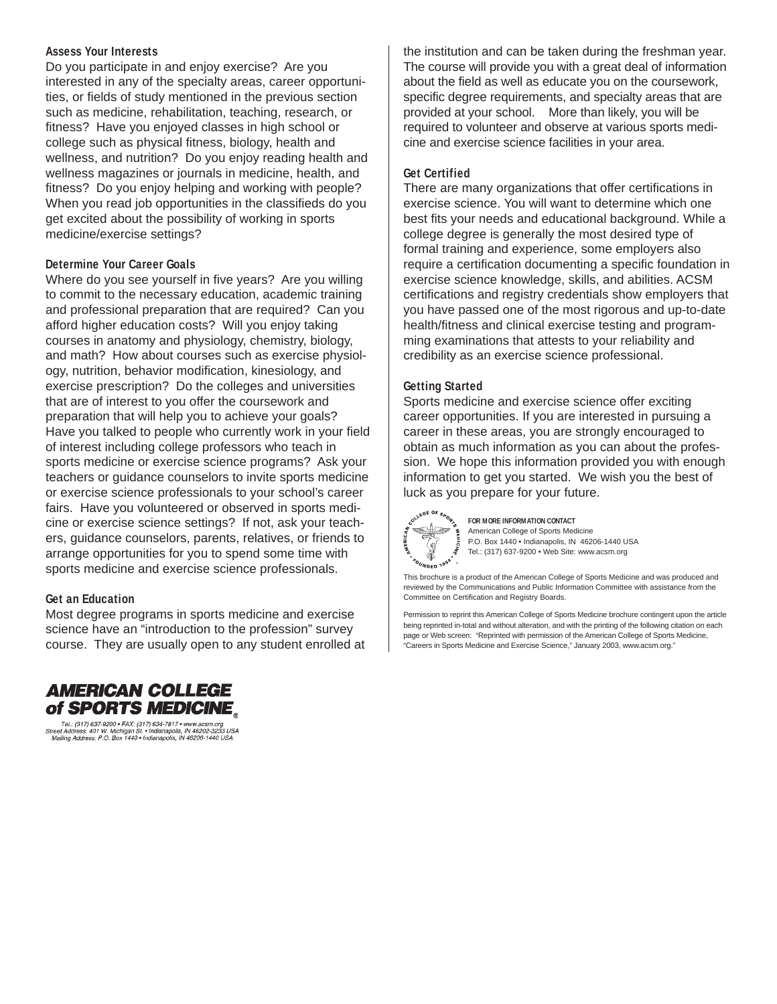#### **Assess Your Interests**

Do you participate in and enjoy exercise? Are you interested in any of the specialty areas, career opportunities, or fields of study mentioned in the previous section such as medicine, rehabilitation, teaching, research, or fitness? Have you enjoyed classes in high school or college such as physical fitness, biology, health and wellness, and nutrition? Do you enjoy reading health and wellness magazines or journals in medicine, health, and fitness? Do you enjoy helping and working with people? When you read job opportunities in the classifieds do you get excited about the possibility of working in sports medicine/exercise settings?

#### **Determine Your Career Goals**

Where do you see yourself in five years? Are you willing to commit to the necessary education, academic training and professional preparation that are required? Can you afford higher education costs? Will you enjoy taking courses in anatomy and physiology, chemistry, biology, and math? How about courses such as exercise physiology, nutrition, behavior modification, kinesiology, and exercise prescription? Do the colleges and universities that are of interest to you offer the coursework and preparation that will help you to achieve your goals? Have you talked to people who currently work in your field of interest including college professors who teach in sports medicine or exercise science programs? Ask your teachers or guidance counselors to invite sports medicine or exercise science professionals to your school's career fairs. Have you volunteered or observed in sports medicine or exercise science settings? If not, ask your teachers, guidance counselors, parents, relatives, or friends to arrange opportunities for you to spend some time with sports medicine and exercise science professionals.

#### **Get an Education**

Most degree programs in sports medicine and exercise science have an "introduction to the profession" survey course. They are usually open to any student enrolled at



ری<br>Tel.: (317) 637-9200 • FAX: (317) 634-7817 • www.acsm.org<br>Street Address: 401 W. Michigan St. • Indianapolis, IN 46202-3233 USA<br>Mailing Address: P.O. Box 1440 • Indianapolis, IN 46206-1440 USA

the institution and can be taken during the freshman year. The course will provide you with a great deal of information about the field as well as educate you on the coursework, specific degree requirements, and specialty areas that are provided at your school. More than likely, you will be required to volunteer and observe at various sports medicine and exercise science facilities in your area.

#### **Get Certified**

There are many organizations that offer certifications in exercise science. You will want to determine which one best fits your needs and educational background. While a college degree is generally the most desired type of formal training and experience, some employers also require a certification documenting a specific foundation in exercise science knowledge, skills, and abilities. ACSM certifications and registry credentials show employers that you have passed one of the most rigorous and up-to-date health/fitness and clinical exercise testing and programming examinations that attests to your reliability and credibility as an exercise science professional.

#### **Getting Started**

Sports medicine and exercise science offer exciting career opportunities. If you are interested in pursuing a career in these areas, you are strongly encouraged to obtain as much information as you can about the profession. We hope this information provided you with enough information to get you started. We wish you the best of luck as you prepare for your future.



**FOR MORE INFORMATION CONTACT** American College of Sports Medicine P.O. Box 1440 • Indianapolis, IN 46206-1440 USA Tel.: (317) 637-9200 • Web Site: www.acsm.org

This brochure is a product of the American College of Sports Medicine and was produced and reviewed by the Communications and Public Information Committee with assistance from the Committee on Certification and Registry Boards.

Permission to reprint this American College of Sports Medicine brochure contingent upon the article being reprinted in-total and without alteration, and with the printing of the following citation on each page or Web screen: "Reprinted with permission of the American College of Sports Medicine, "Careers in Sports Medicine and Exercise Science," January 2003, www.acsm.org."